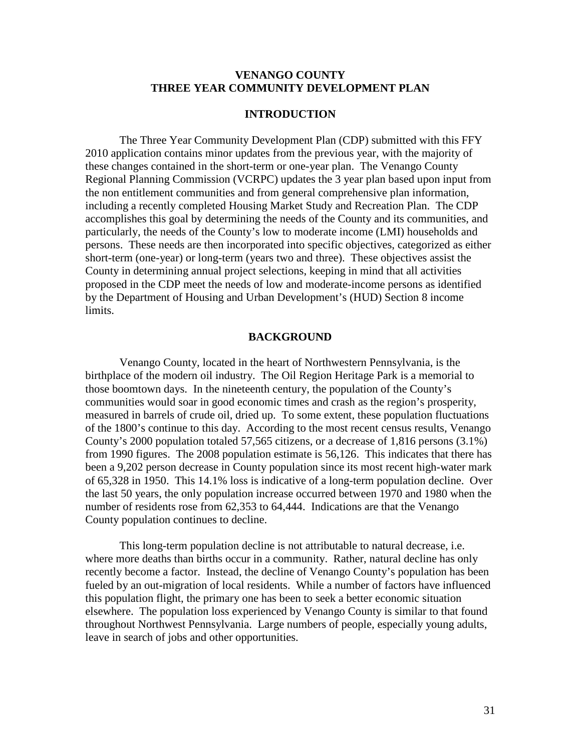### **VENANGO COUNTY THREE YEAR COMMUNITY DEVELOPMENT PLAN**

## **INTRODUCTION**

The Three Year Community Development Plan (CDP) submitted with this FFY 2010 application contains minor updates from the previous year, with the majority of these changes contained in the short-term or one-year plan. The Venango County Regional Planning Commission (VCRPC) updates the 3 year plan based upon input from the non entitlement communities and from general comprehensive plan information, including a recently completed Housing Market Study and Recreation Plan. The CDP accomplishes this goal by determining the needs of the County and its communities, and particularly, the needs of the County's low to moderate income (LMI) households and persons. These needs are then incorporated into specific objectives, categorized as either short-term (one-year) or long-term (years two and three). These objectives assist the County in determining annual project selections, keeping in mind that all activities proposed in the CDP meet the needs of low and moderate-income persons as identified by the Department of Housing and Urban Development's (HUD) Section 8 income limits.

#### **BACKGROUND**

Venango County, located in the heart of Northwestern Pennsylvania, is the birthplace of the modern oil industry. The Oil Region Heritage Park is a memorial to those boomtown days. In the nineteenth century, the population of the County's communities would soar in good economic times and crash as the region's prosperity, measured in barrels of crude oil, dried up. To some extent, these population fluctuations of the 1800's continue to this day. According to the most recent census results, Venango County's 2000 population totaled 57,565 citizens, or a decrease of 1,816 persons (3.1%) from 1990 figures. The 2008 population estimate is 56,126. This indicates that there has been a 9,202 person decrease in County population since its most recent high-water mark of 65,328 in 1950. This 14.1% loss is indicative of a long-term population decline. Over the last 50 years, the only population increase occurred between 1970 and 1980 when the number of residents rose from 62,353 to 64,444. Indications are that the Venango County population continues to decline.

This long-term population decline is not attributable to natural decrease, i.e. where more deaths than births occur in a community. Rather, natural decline has only recently become a factor. Instead, the decline of Venango County's population has been fueled by an out-migration of local residents. While a number of factors have influenced this population flight, the primary one has been to seek a better economic situation elsewhere. The population loss experienced by Venango County is similar to that found throughout Northwest Pennsylvania. Large numbers of people, especially young adults, leave in search of jobs and other opportunities.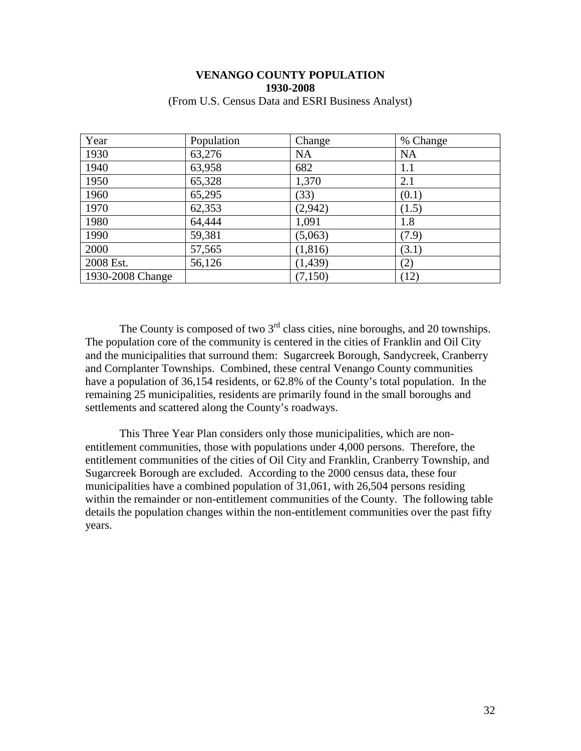| Year             | Population | Change    | % Change  |
|------------------|------------|-----------|-----------|
| 1930             | 63,276     | <b>NA</b> | <b>NA</b> |
| 1940             | 63,958     | 682       | 1.1       |
| 1950             | 65,328     | 1,370     | 2.1       |
| 1960             | 65,295     | (33)      | (0.1)     |
| 1970             | 62,353     | (2,942)   | (1.5)     |
| 1980             | 64,444     | 1,091     | 1.8       |
| 1990             | 59,381     | (5,063)   | (7.9)     |
| 2000             | 57,565     | (1, 816)  | (3.1)     |
| 2008 Est.        | 56,126     | (1, 439)  | (2)       |
| 1930-2008 Change |            | (7,150)   | (12)      |

### **VENANGO COUNTY POPULATION 1930-2008** (From U.S. Census Data and ESRI Business Analyst)

The County is composed of two  $3<sup>rd</sup>$  class cities, nine boroughs, and 20 townships. The population core of the community is centered in the cities of Franklin and Oil City and the municipalities that surround them: Sugarcreek Borough, Sandycreek, Cranberry and Cornplanter Townships. Combined, these central Venango County communities have a population of 36,154 residents, or 62.8% of the County's total population. In the remaining 25 municipalities, residents are primarily found in the small boroughs and settlements and scattered along the County's roadways.

This Three Year Plan considers only those municipalities, which are nonentitlement communities, those with populations under 4,000 persons. Therefore, the entitlement communities of the cities of Oil City and Franklin, Cranberry Township, and Sugarcreek Borough are excluded. According to the 2000 census data, these four municipalities have a combined population of 31,061, with 26,504 persons residing within the remainder or non-entitlement communities of the County. The following table details the population changes within the non-entitlement communities over the past fifty years.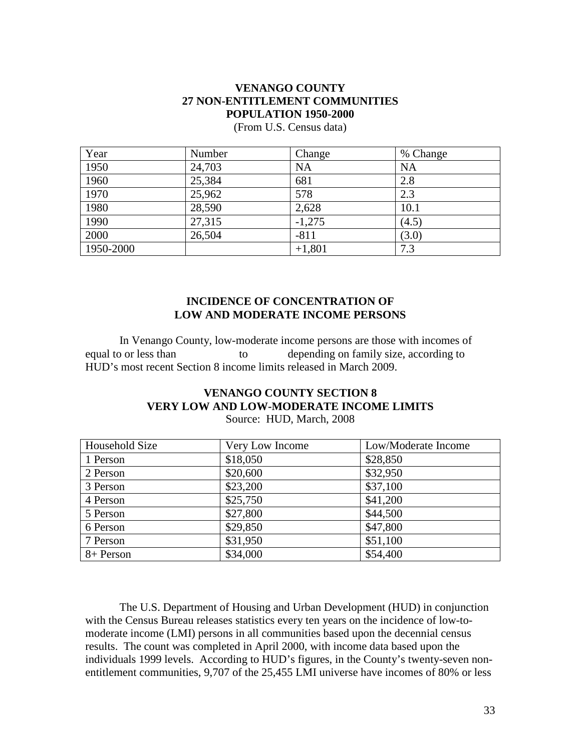## **VENANGO COUNTY 27 NON-ENTITLEMENT COMMUNITIES POPULATION 1950-2000**

| Year      | Number | Change    | % Change  |
|-----------|--------|-----------|-----------|
| 1950      | 24,703 | <b>NA</b> | <b>NA</b> |
| 1960      | 25,384 | 681       | 2.8       |
| 1970      | 25,962 | 578       | 2.3       |
| 1980      | 28,590 | 2,628     | 10.1      |
| 1990      | 27,315 | $-1,275$  | (4.5)     |
| 2000      | 26,504 | $-811$    | (3.0)     |
| 1950-2000 |        | $+1,801$  | 7.3       |

(From U.S. Census data)

## **INCIDENCE OF CONCENTRATION OF LOW AND MODERATE INCOME PERSONS**

In Venango County, low-moderate income persons are those with incomes of equal to or less than to depending on family size, according to HUD's most recent Section 8 income limits released in March 2009.

## **VENANGO COUNTY SECTION 8 VERY LOW AND LOW-MODERATE INCOME LIMITS**

Source: HUD, March, 2008

| Household Size | Very Low Income | Low/Moderate Income |
|----------------|-----------------|---------------------|
| 1 Person       | \$18,050        | \$28,850            |
| 2 Person       | \$20,600        | \$32,950            |
| 3 Person       | \$23,200        | \$37,100            |
| 4 Person       | \$25,750        | \$41,200            |
| 5 Person       | \$27,800        | \$44,500            |
| 6 Person       | \$29,850        | \$47,800            |
| 7 Person       | \$31,950        | \$51,100            |
| 8+ Person      | \$34,000        | \$54,400            |

The U.S. Department of Housing and Urban Development (HUD) in conjunction with the Census Bureau releases statistics every ten years on the incidence of low-tomoderate income (LMI) persons in all communities based upon the decennial census results. The count was completed in April 2000, with income data based upon the individuals 1999 levels. According to HUD's figures, in the County's twenty-seven nonentitlement communities, 9,707 of the 25,455 LMI universe have incomes of 80% or less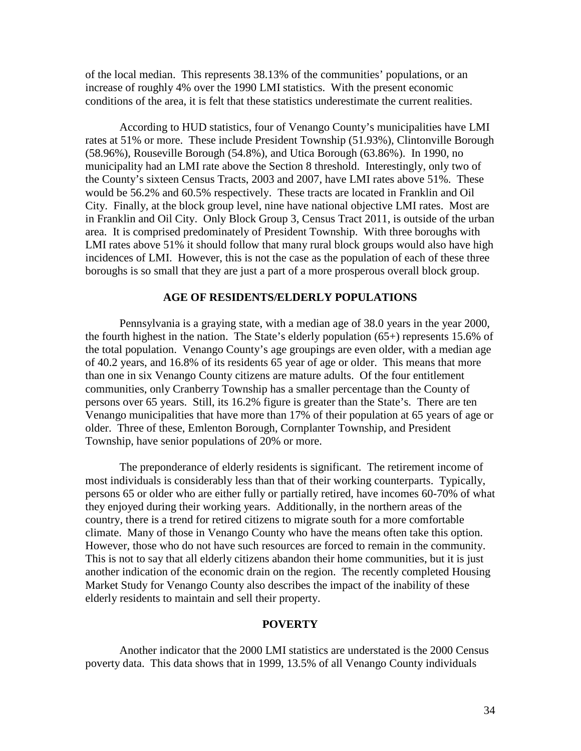of the local median. This represents 38.13% of the communities' populations, or an increase of roughly 4% over the 1990 LMI statistics. With the present economic conditions of the area, it is felt that these statistics underestimate the current realities.

According to HUD statistics, four of Venango County's municipalities have LMI rates at 51% or more. These include President Township (51.93%), Clintonville Borough (58.96%), Rouseville Borough (54.8%), and Utica Borough (63.86%). In 1990, no municipality had an LMI rate above the Section 8 threshold. Interestingly, only two of the County's sixteen Census Tracts, 2003 and 2007, have LMI rates above 51%. These would be 56.2% and 60.5% respectively. These tracts are located in Franklin and Oil City. Finally, at the block group level, nine have national objective LMI rates. Most are in Franklin and Oil City. Only Block Group 3, Census Tract 2011, is outside of the urban area. It is comprised predominately of President Township. With three boroughs with LMI rates above 51% it should follow that many rural block groups would also have high incidences of LMI. However, this is not the case as the population of each of these three boroughs is so small that they are just a part of a more prosperous overall block group.

#### **AGE OF RESIDENTS/ELDERLY POPULATIONS**

Pennsylvania is a graying state, with a median age of 38.0 years in the year 2000, the fourth highest in the nation. The State's elderly population (65+) represents 15.6% of the total population. Venango County's age groupings are even older, with a median age of 40.2 years, and 16.8% of its residents 65 year of age or older. This means that more than one in six Venango County citizens are mature adults. Of the four entitlement communities, only Cranberry Township has a smaller percentage than the County of persons over 65 years. Still, its 16.2% figure is greater than the State's. There are ten Venango municipalities that have more than 17% of their population at 65 years of age or older. Three of these, Emlenton Borough, Cornplanter Township, and President Township, have senior populations of 20% or more.

The preponderance of elderly residents is significant. The retirement income of most individuals is considerably less than that of their working counterparts. Typically, persons 65 or older who are either fully or partially retired, have incomes 60-70% of what they enjoyed during their working years. Additionally, in the northern areas of the country, there is a trend for retired citizens to migrate south for a more comfortable climate. Many of those in Venango County who have the means often take this option. However, those who do not have such resources are forced to remain in the community. This is not to say that all elderly citizens abandon their home communities, but it is just another indication of the economic drain on the region. The recently completed Housing Market Study for Venango County also describes the impact of the inability of these elderly residents to maintain and sell their property.

#### **POVERTY**

Another indicator that the 2000 LMI statistics are understated is the 2000 Census poverty data. This data shows that in 1999, 13.5% of all Venango County individuals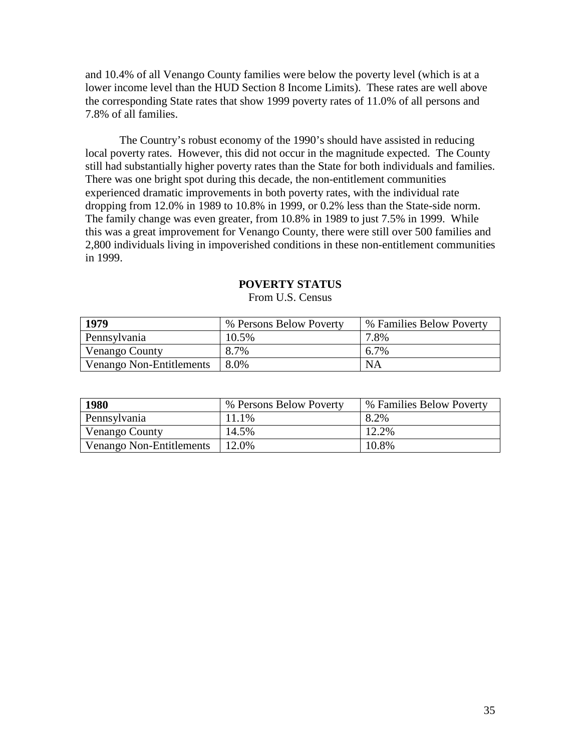and 10.4% of all Venango County families were below the poverty level (which is at a lower income level than the HUD Section 8 Income Limits). These rates are well above the corresponding State rates that show 1999 poverty rates of 11.0% of all persons and 7.8% of all families.

The Country's robust economy of the 1990's should have assisted in reducing local poverty rates. However, this did not occur in the magnitude expected. The County still had substantially higher poverty rates than the State for both individuals and families. There was one bright spot during this decade, the non-entitlement communities experienced dramatic improvements in both poverty rates, with the individual rate dropping from 12.0% in 1989 to 10.8% in 1999, or 0.2% less than the State-side norm. The family change was even greater, from 10.8% in 1989 to just 7.5% in 1999. While this was a great improvement for Venango County, there were still over 500 families and 2,800 individuals living in impoverished conditions in these non-entitlement communities in 1999.

| 1979                     | % Persons Below Poverty | % Families Below Poverty |
|--------------------------|-------------------------|--------------------------|
| Pennsylvania             | 10.5%                   | 7.8%                     |
| Venango County           | 8.7%                    | 6.7%                     |
| Venango Non-Entitlements | 8.0%                    | <b>NA</b>                |

## **POVERTY STATUS**

**1980** We Persons Below Poverty \times 8 \times Below Poverty Pennsylvania 11.1% 8.2% Venango County  $14.5\%$  12.2% Venango Non-Entitlements | 12.0% | 10.8%

From U.S. Census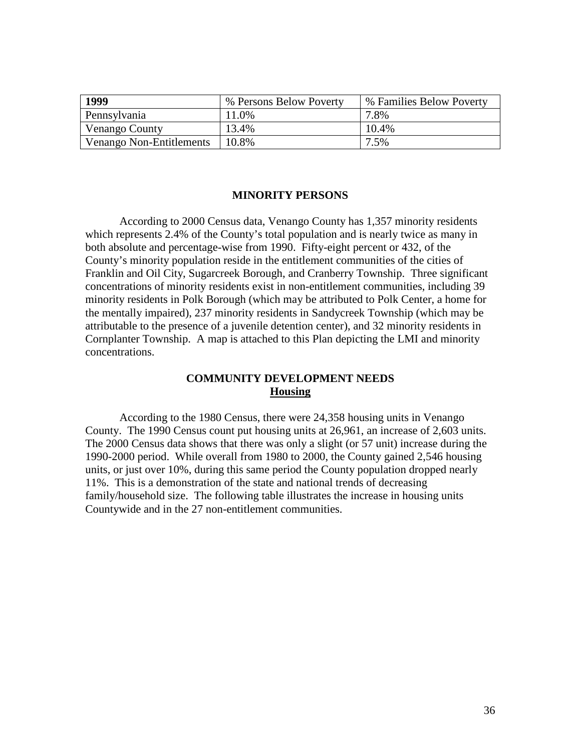| 1999                     | % Persons Below Poverty | % Families Below Poverty |
|--------------------------|-------------------------|--------------------------|
| Pennsylvania             | 11.0%                   | 7.8%                     |
| Venango County           | 13.4%                   | 10.4%                    |
| Venango Non-Entitlements | 10.8%                   | 7.5%                     |

#### **MINORITY PERSONS**

According to 2000 Census data, Venango County has 1,357 minority residents which represents 2.4% of the County's total population and is nearly twice as many in both absolute and percentage-wise from 1990. Fifty-eight percent or 432, of the County's minority population reside in the entitlement communities of the cities of Franklin and Oil City, Sugarcreek Borough, and Cranberry Township. Three significant concentrations of minority residents exist in non-entitlement communities, including 39 minority residents in Polk Borough (which may be attributed to Polk Center, a home for the mentally impaired), 237 minority residents in Sandycreek Township (which may be attributable to the presence of a juvenile detention center), and 32 minority residents in Cornplanter Township. A map is attached to this Plan depicting the LMI and minority concentrations.

## **COMMUNITY DEVELOPMENT NEEDS Housing**

According to the 1980 Census, there were 24,358 housing units in Venango County. The 1990 Census count put housing units at 26,961, an increase of 2,603 units. The 2000 Census data shows that there was only a slight (or 57 unit) increase during the 1990-2000 period. While overall from 1980 to 2000, the County gained 2,546 housing units, or just over 10%, during this same period the County population dropped nearly 11%. This is a demonstration of the state and national trends of decreasing family/household size. The following table illustrates the increase in housing units Countywide and in the 27 non-entitlement communities.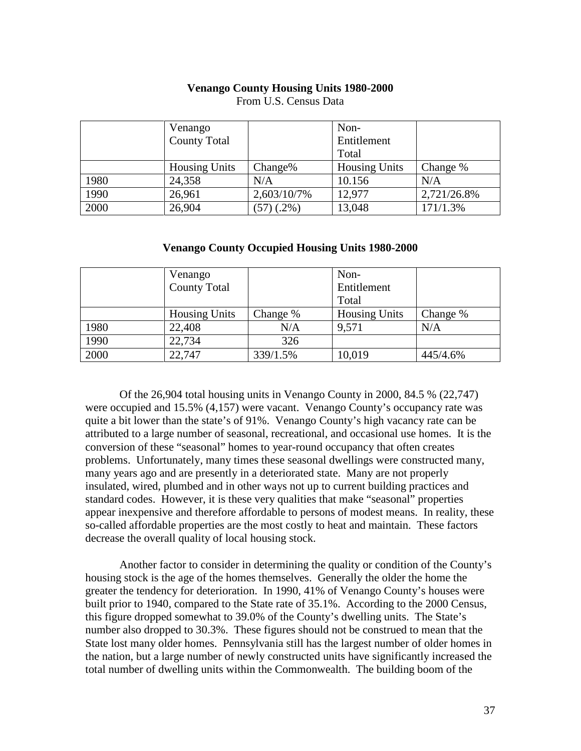#### **Venango County Housing Units 1980-2000**

|      | Venango              |              | Non-                 |             |
|------|----------------------|--------------|----------------------|-------------|
|      | <b>County Total</b>  |              | Entitlement          |             |
|      |                      |              | Total                |             |
|      | <b>Housing Units</b> | $Change\%$   | <b>Housing Units</b> | Change %    |
| 1980 | 24,358               | N/A          | 10.156               | N/A         |
| 1990 | 26,961               | 2,603/10/7%  | 12,977               | 2,721/26.8% |
| 2000 | 26,904               | $(57)(.2\%)$ | 13,048               | 171/1.3%    |

From U.S. Census Data

**Venango County Occupied Housing Units 1980-2000**

|      | Venango              |          | Non-                 |          |
|------|----------------------|----------|----------------------|----------|
|      | <b>County Total</b>  |          | Entitlement          |          |
|      |                      |          | Total                |          |
|      | <b>Housing Units</b> | Change % | <b>Housing Units</b> | Change % |
| 1980 | 22,408               | N/A      | 9,571                | N/A      |
| 1990 | 22,734               | 326      |                      |          |
| 2000 | 22,747               | 339/1.5% | 10,019               | 445/4.6% |

Of the 26,904 total housing units in Venango County in 2000, 84.5 % (22,747) were occupied and 15.5% (4,157) were vacant. Venango County's occupancy rate was quite a bit lower than the state's of 91%. Venango County's high vacancy rate can be attributed to a large number of seasonal, recreational, and occasional use homes. It is the conversion of these "seasonal" homes to year-round occupancy that often creates problems. Unfortunately, many times these seasonal dwellings were constructed many, many years ago and are presently in a deteriorated state. Many are not properly insulated, wired, plumbed and in other ways not up to current building practices and standard codes. However, it is these very qualities that make "seasonal" properties appear inexpensive and therefore affordable to persons of modest means. In reality, these so-called affordable properties are the most costly to heat and maintain. These factors decrease the overall quality of local housing stock.

Another factor to consider in determining the quality or condition of the County's housing stock is the age of the homes themselves. Generally the older the home the greater the tendency for deterioration. In 1990, 41% of Venango County's houses were built prior to 1940, compared to the State rate of 35.1%. According to the 2000 Census, this figure dropped somewhat to 39.0% of the County's dwelling units. The State's number also dropped to 30.3%. These figures should not be construed to mean that the State lost many older homes. Pennsylvania still has the largest number of older homes in the nation, but a large number of newly constructed units have significantly increased the total number of dwelling units within the Commonwealth. The building boom of the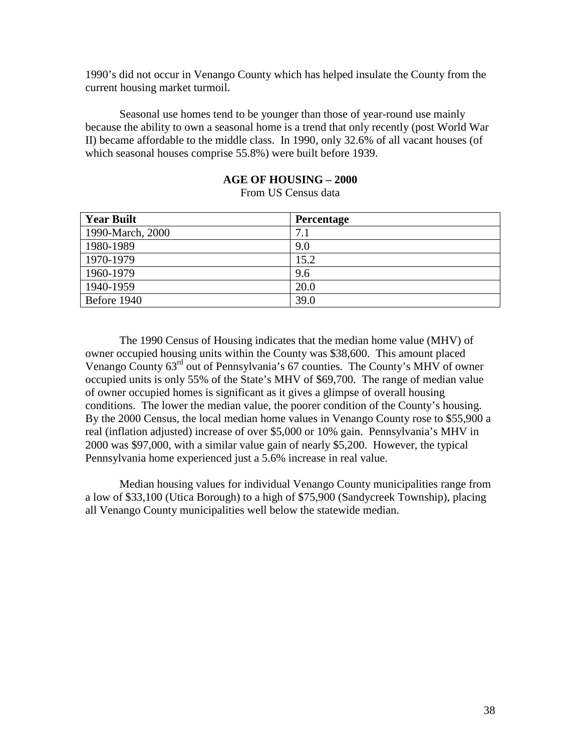1990's did not occur in Venango County which has helped insulate the County from the current housing market turmoil.

Seasonal use homes tend to be younger than those of year-round use mainly because the ability to own a seasonal home is a trend that only recently (post World War II) became affordable to the middle class. In 1990, only 32.6% of all vacant houses (of which seasonal houses comprise 55.8%) were built before 1939.

## **AGE OF HOUSING – 2000**

From US Census data

| <b>Year Built</b> | <b>Percentage</b> |
|-------------------|-------------------|
| 1990-March, 2000  | 7.1               |
| 1980-1989         | 9.0               |
| 1970-1979         | 15.2              |
| 1960-1979         | 9.6               |
| 1940-1959         | 20.0              |
| Before 1940       | 39.0              |

The 1990 Census of Housing indicates that the median home value (MHV) of owner occupied housing units within the County was \$38,600. This amount placed Venango County 63rd out of Pennsylvania's 67 counties. The County's MHV of owner occupied units is only 55% of the State's MHV of \$69,700. The range of median value of owner occupied homes is significant as it gives a glimpse of overall housing conditions. The lower the median value, the poorer condition of the County's housing. By the 2000 Census, the local median home values in Venango County rose to \$55,900 a real (inflation adjusted) increase of over \$5,000 or 10% gain. Pennsylvania's MHV in 2000 was \$97,000, with a similar value gain of nearly \$5,200. However, the typical Pennsylvania home experienced just a 5.6% increase in real value.

Median housing values for individual Venango County municipalities range from a low of \$33,100 (Utica Borough) to a high of \$75,900 (Sandycreek Township), placing all Venango County municipalities well below the statewide median.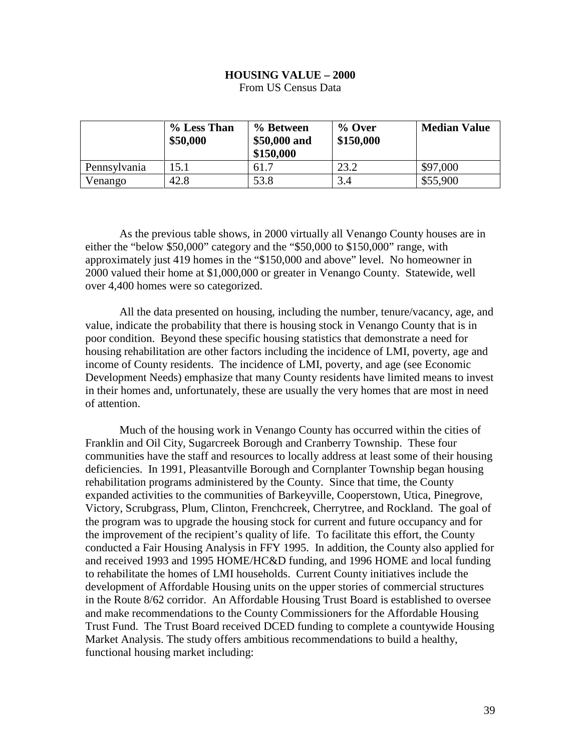# **HOUSING VALUE – 2000**

|              | % Less Than<br>\$50,000 | % Between<br>\$50,000 and<br>\$150,000 | $\%$ Over<br>\$150,000 | <b>Median Value</b> |
|--------------|-------------------------|----------------------------------------|------------------------|---------------------|
| Pennsylvania | l 5.1                   | 61.7                                   | 23.2                   | \$97,000            |
| Venango      | 42.8                    | 53.8                                   | 3.4                    | \$55,900            |

From US Census Data

As the previous table shows, in 2000 virtually all Venango County houses are in either the "below \$50,000" category and the "\$50,000 to \$150,000" range, with approximately just 419 homes in the "\$150,000 and above" level. No homeowner in 2000 valued their home at \$1,000,000 or greater in Venango County. Statewide, well over 4,400 homes were so categorized.

All the data presented on housing, including the number, tenure/vacancy, age, and value, indicate the probability that there is housing stock in Venango County that is in poor condition. Beyond these specific housing statistics that demonstrate a need for housing rehabilitation are other factors including the incidence of LMI, poverty, age and income of County residents. The incidence of LMI, poverty, and age (see Economic Development Needs) emphasize that many County residents have limited means to invest in their homes and, unfortunately, these are usually the very homes that are most in need of attention.

Much of the housing work in Venango County has occurred within the cities of Franklin and Oil City, Sugarcreek Borough and Cranberry Township. These four communities have the staff and resources to locally address at least some of their housing deficiencies. In 1991, Pleasantville Borough and Cornplanter Township began housing rehabilitation programs administered by the County. Since that time, the County expanded activities to the communities of Barkeyville, Cooperstown, Utica, Pinegrove, Victory, Scrubgrass, Plum, Clinton, Frenchcreek, Cherrytree, and Rockland. The goal of the program was to upgrade the housing stock for current and future occupancy and for the improvement of the recipient's quality of life. To facilitate this effort, the County conducted a Fair Housing Analysis in FFY 1995. In addition, the County also applied for and received 1993 and 1995 HOME/HC&D funding, and 1996 HOME and local funding to rehabilitate the homes of LMI households. Current County initiatives include the development of Affordable Housing units on the upper stories of commercial structures in the Route 8/62 corridor. An Affordable Housing Trust Board is established to oversee and make recommendations to the County Commissioners for the Affordable Housing Trust Fund. The Trust Board received DCED funding to complete a countywide Housing Market Analysis. The study offers ambitious recommendations to build a healthy, functional housing market including: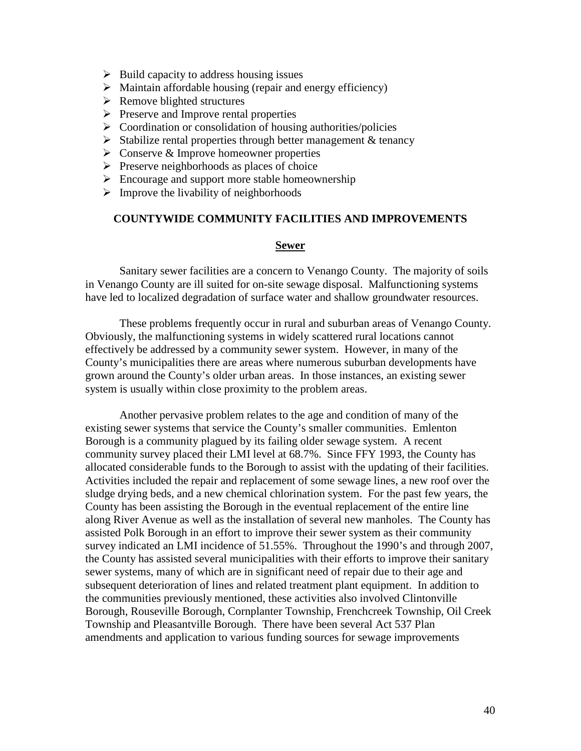- $\triangleright$  Build capacity to address housing issues
- $\triangleright$  Maintain affordable housing (repair and energy efficiency)
- $\triangleright$  Remove blighted structures
- $\triangleright$  Preserve and Improve rental properties
- $\triangleright$  Coordination or consolidation of housing authorities/policies
- $\triangleright$  Stabilize rental properties through better management & tenancy
- $\triangleright$  Conserve & Improve homeowner properties
- $\triangleright$  Preserve neighborhoods as places of choice
- $\triangleright$  Encourage and support more stable homeownership
- $\triangleright$  Improve the livability of neighborhoods

## **COUNTYWIDE COMMUNITY FACILITIES AND IMPROVEMENTS**

#### **Sewer**

Sanitary sewer facilities are a concern to Venango County. The majority of soils in Venango County are ill suited for on-site sewage disposal. Malfunctioning systems have led to localized degradation of surface water and shallow groundwater resources.

These problems frequently occur in rural and suburban areas of Venango County. Obviously, the malfunctioning systems in widely scattered rural locations cannot effectively be addressed by a community sewer system. However, in many of the County's municipalities there are areas where numerous suburban developments have grown around the County's older urban areas. In those instances, an existing sewer system is usually within close proximity to the problem areas.

Another pervasive problem relates to the age and condition of many of the existing sewer systems that service the County's smaller communities. Emlenton Borough is a community plagued by its failing older sewage system. A recent community survey placed their LMI level at 68.7%. Since FFY 1993, the County has allocated considerable funds to the Borough to assist with the updating of their facilities. Activities included the repair and replacement of some sewage lines, a new roof over the sludge drying beds, and a new chemical chlorination system. For the past few years, the County has been assisting the Borough in the eventual replacement of the entire line along River Avenue as well as the installation of several new manholes. The County has assisted Polk Borough in an effort to improve their sewer system as their community survey indicated an LMI incidence of 51.55%. Throughout the 1990's and through 2007, the County has assisted several municipalities with their efforts to improve their sanitary sewer systems, many of which are in significant need of repair due to their age and subsequent deterioration of lines and related treatment plant equipment. In addition to the communities previously mentioned, these activities also involved Clintonville Borough, Rouseville Borough, Cornplanter Township, Frenchcreek Township, Oil Creek Township and Pleasantville Borough. There have been several Act 537 Plan amendments and application to various funding sources for sewage improvements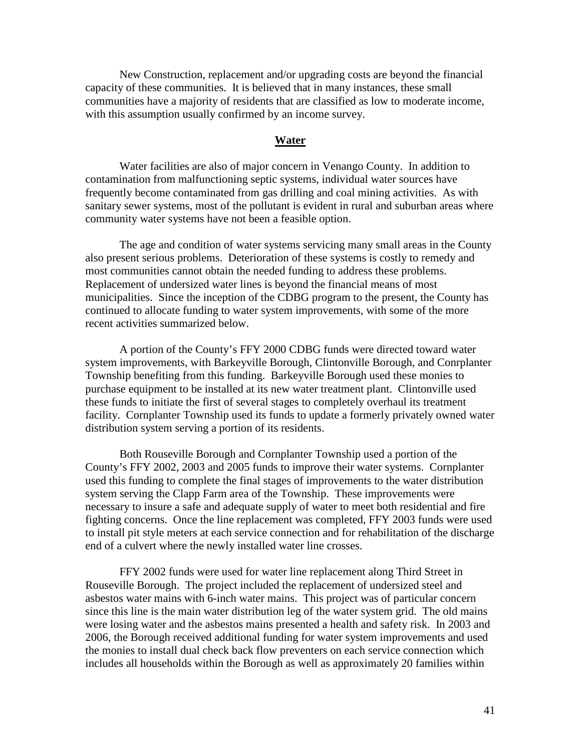New Construction, replacement and/or upgrading costs are beyond the financial capacity of these communities. It is believed that in many instances, these small communities have a majority of residents that are classified as low to moderate income, with this assumption usually confirmed by an income survey.

#### **Water**

Water facilities are also of major concern in Venango County. In addition to contamination from malfunctioning septic systems, individual water sources have frequently become contaminated from gas drilling and coal mining activities. As with sanitary sewer systems, most of the pollutant is evident in rural and suburban areas where community water systems have not been a feasible option.

The age and condition of water systems servicing many small areas in the County also present serious problems. Deterioration of these systems is costly to remedy and most communities cannot obtain the needed funding to address these problems. Replacement of undersized water lines is beyond the financial means of most municipalities. Since the inception of the CDBG program to the present, the County has continued to allocate funding to water system improvements, with some of the more recent activities summarized below.

A portion of the County's FFY 2000 CDBG funds were directed toward water system improvements, with Barkeyville Borough, Clintonville Borough, and Conrplanter Township benefiting from this funding. Barkeyville Borough used these monies to purchase equipment to be installed at its new water treatment plant. Clintonville used these funds to initiate the first of several stages to completely overhaul its treatment facility. Cornplanter Township used its funds to update a formerly privately owned water distribution system serving a portion of its residents.

Both Rouseville Borough and Cornplanter Township used a portion of the County's FFY 2002, 2003 and 2005 funds to improve their water systems. Cornplanter used this funding to complete the final stages of improvements to the water distribution system serving the Clapp Farm area of the Township. These improvements were necessary to insure a safe and adequate supply of water to meet both residential and fire fighting concerns. Once the line replacement was completed, FFY 2003 funds were used to install pit style meters at each service connection and for rehabilitation of the discharge end of a culvert where the newly installed water line crosses.

FFY 2002 funds were used for water line replacement along Third Street in Rouseville Borough. The project included the replacement of undersized steel and asbestos water mains with 6-inch water mains. This project was of particular concern since this line is the main water distribution leg of the water system grid. The old mains were losing water and the asbestos mains presented a health and safety risk. In 2003 and 2006, the Borough received additional funding for water system improvements and used the monies to install dual check back flow preventers on each service connection which includes all households within the Borough as well as approximately 20 families within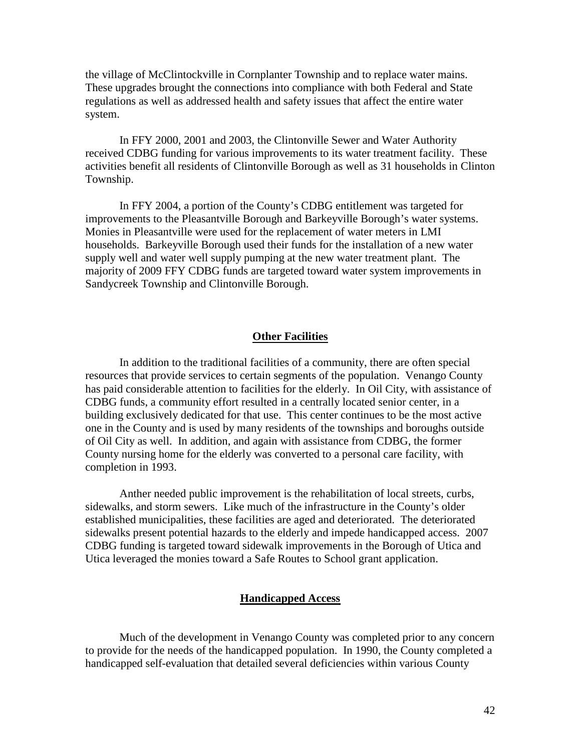the village of McClintockville in Cornplanter Township and to replace water mains. These upgrades brought the connections into compliance with both Federal and State regulations as well as addressed health and safety issues that affect the entire water system.

In FFY 2000, 2001 and 2003, the Clintonville Sewer and Water Authority received CDBG funding for various improvements to its water treatment facility. These activities benefit all residents of Clintonville Borough as well as 31 households in Clinton Township.

In FFY 2004, a portion of the County's CDBG entitlement was targeted for improvements to the Pleasantville Borough and Barkeyville Borough's water systems. Monies in Pleasantville were used for the replacement of water meters in LMI households. Barkeyville Borough used their funds for the installation of a new water supply well and water well supply pumping at the new water treatment plant. The majority of 2009 FFY CDBG funds are targeted toward water system improvements in Sandycreek Township and Clintonville Borough.

#### **Other Facilities**

In addition to the traditional facilities of a community, there are often special resources that provide services to certain segments of the population. Venango County has paid considerable attention to facilities for the elderly. In Oil City, with assistance of CDBG funds, a community effort resulted in a centrally located senior center, in a building exclusively dedicated for that use. This center continues to be the most active one in the County and is used by many residents of the townships and boroughs outside of Oil City as well. In addition, and again with assistance from CDBG, the former County nursing home for the elderly was converted to a personal care facility, with completion in 1993.

Anther needed public improvement is the rehabilitation of local streets, curbs, sidewalks, and storm sewers. Like much of the infrastructure in the County's older established municipalities, these facilities are aged and deteriorated. The deteriorated sidewalks present potential hazards to the elderly and impede handicapped access. 2007 CDBG funding is targeted toward sidewalk improvements in the Borough of Utica and Utica leveraged the monies toward a Safe Routes to School grant application.

#### **Handicapped Access**

Much of the development in Venango County was completed prior to any concern to provide for the needs of the handicapped population. In 1990, the County completed a handicapped self-evaluation that detailed several deficiencies within various County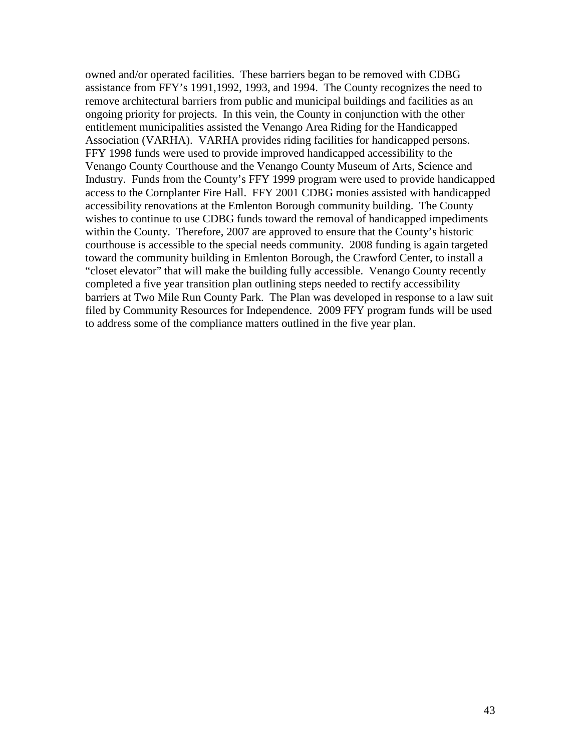owned and/or operated facilities. These barriers began to be removed with CDBG assistance from FFY's 1991,1992, 1993, and 1994. The County recognizes the need to remove architectural barriers from public and municipal buildings and facilities as an ongoing priority for projects. In this vein, the County in conjunction with the other entitlement municipalities assisted the Venango Area Riding for the Handicapped Association (VARHA). VARHA provides riding facilities for handicapped persons. FFY 1998 funds were used to provide improved handicapped accessibility to the Venango County Courthouse and the Venango County Museum of Arts, Science and Industry. Funds from the County's FFY 1999 program were used to provide handicapped access to the Cornplanter Fire Hall. FFY 2001 CDBG monies assisted with handicapped accessibility renovations at the Emlenton Borough community building. The County wishes to continue to use CDBG funds toward the removal of handicapped impediments within the County. Therefore, 2007 are approved to ensure that the County's historic courthouse is accessible to the special needs community. 2008 funding is again targeted toward the community building in Emlenton Borough, the Crawford Center, to install a "closet elevator" that will make the building fully accessible. Venango County recently completed a five year transition plan outlining steps needed to rectify accessibility barriers at Two Mile Run County Park. The Plan was developed in response to a law suit filed by Community Resources for Independence. 2009 FFY program funds will be used to address some of the compliance matters outlined in the five year plan.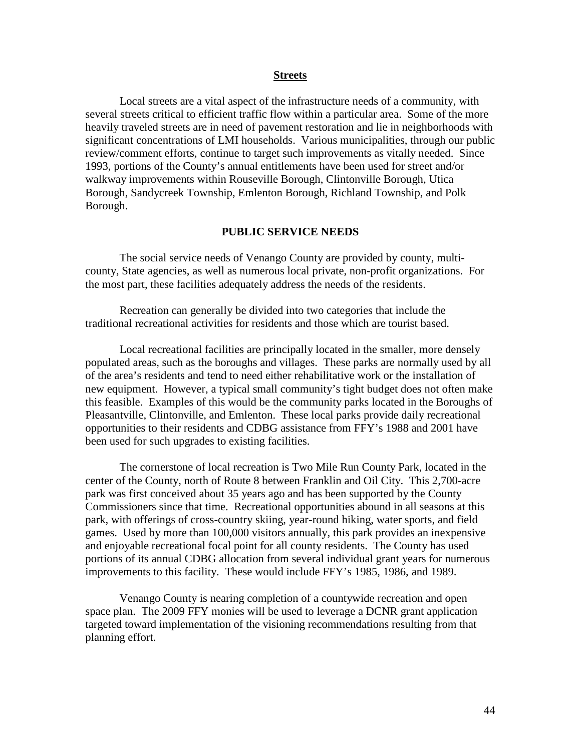#### **Streets**

Local streets are a vital aspect of the infrastructure needs of a community, with several streets critical to efficient traffic flow within a particular area. Some of the more heavily traveled streets are in need of pavement restoration and lie in neighborhoods with significant concentrations of LMI households. Various municipalities, through our public review/comment efforts, continue to target such improvements as vitally needed. Since 1993, portions of the County's annual entitlements have been used for street and/or walkway improvements within Rouseville Borough, Clintonville Borough, Utica Borough, Sandycreek Township, Emlenton Borough, Richland Township, and Polk Borough.

#### **PUBLIC SERVICE NEEDS**

The social service needs of Venango County are provided by county, multicounty, State agencies, as well as numerous local private, non-profit organizations. For the most part, these facilities adequately address the needs of the residents.

Recreation can generally be divided into two categories that include the traditional recreational activities for residents and those which are tourist based.

Local recreational facilities are principally located in the smaller, more densely populated areas, such as the boroughs and villages. These parks are normally used by all of the area's residents and tend to need either rehabilitative work or the installation of new equipment. However, a typical small community's tight budget does not often make this feasible. Examples of this would be the community parks located in the Boroughs of Pleasantville, Clintonville, and Emlenton. These local parks provide daily recreational opportunities to their residents and CDBG assistance from FFY's 1988 and 2001 have been used for such upgrades to existing facilities.

The cornerstone of local recreation is Two Mile Run County Park, located in the center of the County, north of Route 8 between Franklin and Oil City. This 2,700-acre park was first conceived about 35 years ago and has been supported by the County Commissioners since that time. Recreational opportunities abound in all seasons at this park, with offerings of cross-country skiing, year-round hiking, water sports, and field games. Used by more than 100,000 visitors annually, this park provides an inexpensive and enjoyable recreational focal point for all county residents. The County has used portions of its annual CDBG allocation from several individual grant years for numerous improvements to this facility. These would include FFY's 1985, 1986, and 1989.

Venango County is nearing completion of a countywide recreation and open space plan. The 2009 FFY monies will be used to leverage a DCNR grant application targeted toward implementation of the visioning recommendations resulting from that planning effort.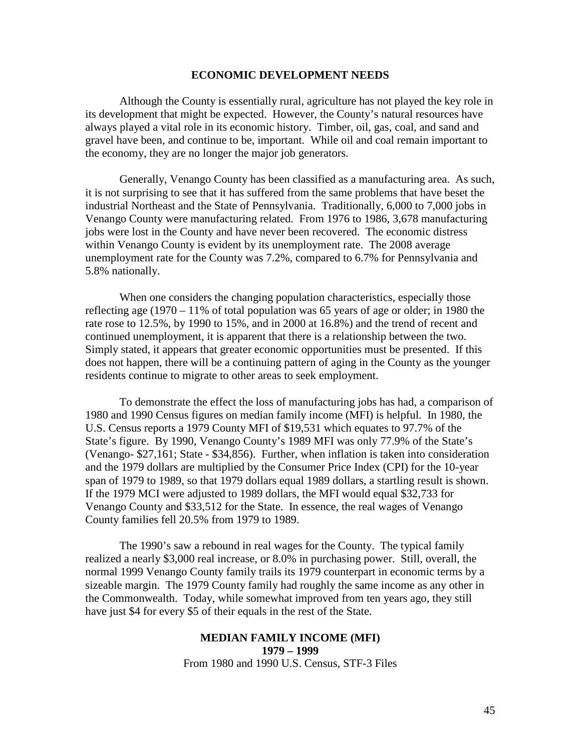#### **ECONOMIC DEVELOPMENT NEEDS**

Although the County is essentially rural, agriculture has not played the key role in its development that might be expected. However, the County's natural resources have always played a vital role in its economic history. Timber, oil, gas, coal, and sand and gravel have been, and continue to be, important. While oil and coal remain important to the economy, they are no longer the major job generators.

Generally, Venango County has been classified as a manufacturing area. As such, it is not surprising to see that it has suffered from the same problems that have beset the industrial Northeast and the State of Pennsylvania. Traditionally, 6,000 to 7,000 jobs in Venango County were manufacturing related. From 1976 to 1986, 3,678 manufacturing jobs were lost in the County and have never been recovered. The economic distress within Venango County is evident by its unemployment rate. The 2008 average unemployment rate for the County was 7.2%, compared to 6.7% for Pennsylvania and 5.8% nationally.

When one considers the changing population characteristics, especially those reflecting age (1970 – 11% of total population was 65 years of age or older; in 1980 the rate rose to 12.5%, by 1990 to 15%, and in 2000 at 16.8%) and the trend of recent and continued unemployment, it is apparent that there is a relationship between the two. Simply stated, it appears that greater economic opportunities must be presented. If this does not happen, there will be a continuing pattern of aging in the County as the younger residents continue to migrate to other areas to seek employment.

To demonstrate the effect the loss of manufacturing jobs has had, a comparison of 1980 and 1990 Census figures on median family income (MFI) is helpful. In 1980, the U.S. Census reports a 1979 County MFI of \$19,531 which equates to 97.7% of the State's figure. By 1990, Venango County's 1989 MFI was only 77.9% of the State's (Venango- \$27,161; State - \$34,856). Further, when inflation is taken into consideration and the 1979 dollars are multiplied by the Consumer Price Index (CPI) for the 10-year span of 1979 to 1989, so that 1979 dollars equal 1989 dollars, a startling result is shown. If the 1979 MCI were adjusted to 1989 dollars, the MFI would equal \$32,733 for Venango County and \$33,512 for the State. In essence, the real wages of Venango County families fell 20.5% from 1979 to 1989.

The 1990's saw a rebound in real wages for the County. The typical family realized a nearly \$3,000 real increase, or 8.0% in purchasing power. Still, overall, the normal 1999 Venango County family trails its 1979 counterpart in economic terms by a sizeable margin. The 1979 County family had roughly the same income as any other in the Commonwealth. Today, while somewhat improved from ten years ago, they still have just \$4 for every \$5 of their equals in the rest of the State.

## **MEDIAN FAMILY INCOME (MFI) 1979 – 1999** From 1980 and 1990 U.S. Census, STF-3 Files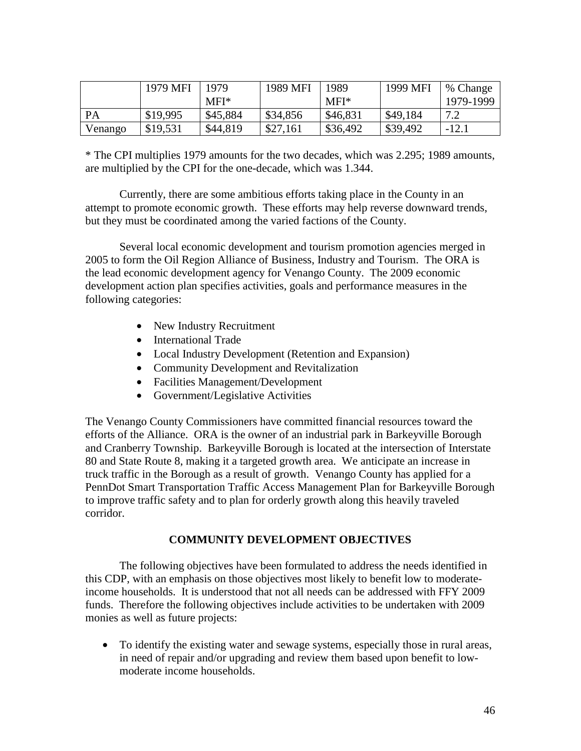|           | 1979 MFI | 1979     | 1989 MFI | 1989     | 1999 MFI | % Change  |
|-----------|----------|----------|----------|----------|----------|-----------|
|           |          | MFI*     |          | $MFI*$   |          | 1979-1999 |
| <b>PA</b> | \$19,995 | \$45,884 | \$34,856 | \$46,831 | \$49,184 | 72        |
| Venango   | \$19,531 | \$44,819 | \$27,161 | \$36,492 | \$39,492 | $-12.1$   |

\* The CPI multiplies 1979 amounts for the two decades, which was 2.295; 1989 amounts, are multiplied by the CPI for the one-decade, which was 1.344.

Currently, there are some ambitious efforts taking place in the County in an attempt to promote economic growth. These efforts may help reverse downward trends, but they must be coordinated among the varied factions of the County.

Several local economic development and tourism promotion agencies merged in 2005 to form the Oil Region Alliance of Business, Industry and Tourism. The ORA is the lead economic development agency for Venango County. The 2009 economic development action plan specifies activities, goals and performance measures in the following categories:

- New Industry Recruitment
- International Trade
- Local Industry Development (Retention and Expansion)
- Community Development and Revitalization
- Facilities Management/Development
- Government/Legislative Activities

The Venango County Commissioners have committed financial resources toward the efforts of the Alliance. ORA is the owner of an industrial park in Barkeyville Borough and Cranberry Township. Barkeyville Borough is located at the intersection of Interstate 80 and State Route 8, making it a targeted growth area. We anticipate an increase in truck traffic in the Borough as a result of growth. Venango County has applied for a PennDot Smart Transportation Traffic Access Management Plan for Barkeyville Borough to improve traffic safety and to plan for orderly growth along this heavily traveled corridor.

## **COMMUNITY DEVELOPMENT OBJECTIVES**

The following objectives have been formulated to address the needs identified in this CDP, with an emphasis on those objectives most likely to benefit low to moderateincome households. It is understood that not all needs can be addressed with FFY 2009 funds. Therefore the following objectives include activities to be undertaken with 2009 monies as well as future projects:

• To identify the existing water and sewage systems, especially those in rural areas, in need of repair and/or upgrading and review them based upon benefit to lowmoderate income households.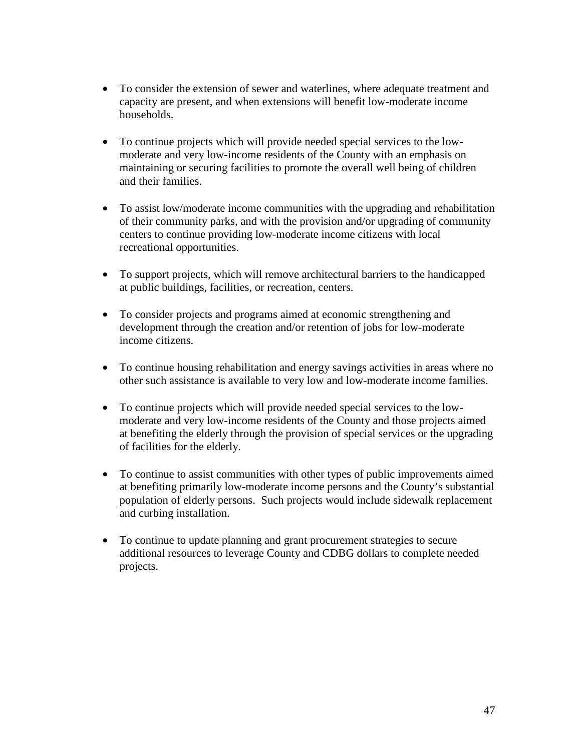- To consider the extension of sewer and waterlines, where adequate treatment and capacity are present, and when extensions will benefit low-moderate income households.
- To continue projects which will provide needed special services to the lowmoderate and very low-income residents of the County with an emphasis on maintaining or securing facilities to promote the overall well being of children and their families.
- To assist low/moderate income communities with the upgrading and rehabilitation of their community parks, and with the provision and/or upgrading of community centers to continue providing low-moderate income citizens with local recreational opportunities.
- To support projects, which will remove architectural barriers to the handicapped at public buildings, facilities, or recreation, centers.
- To consider projects and programs aimed at economic strengthening and development through the creation and/or retention of jobs for low-moderate income citizens.
- To continue housing rehabilitation and energy savings activities in areas where no other such assistance is available to very low and low-moderate income families.
- To continue projects which will provide needed special services to the lowmoderate and very low-income residents of the County and those projects aimed at benefiting the elderly through the provision of special services or the upgrading of facilities for the elderly.
- To continue to assist communities with other types of public improvements aimed at benefiting primarily low-moderate income persons and the County's substantial population of elderly persons. Such projects would include sidewalk replacement and curbing installation.
- To continue to update planning and grant procurement strategies to secure additional resources to leverage County and CDBG dollars to complete needed projects.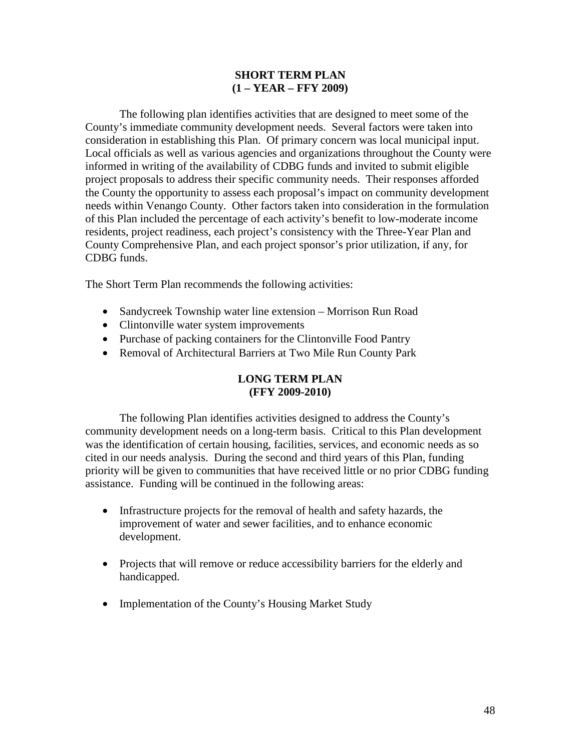## **SHORT TERM PLAN (1 – YEAR – FFY 2009)**

The following plan identifies activities that are designed to meet some of the County's immediate community development needs. Several factors were taken into consideration in establishing this Plan. Of primary concern was local municipal input. Local officials as well as various agencies and organizations throughout the County were informed in writing of the availability of CDBG funds and invited to submit eligible project proposals to address their specific community needs. Their responses afforded the County the opportunity to assess each proposal's impact on community development needs within Venango County. Other factors taken into consideration in the formulation of this Plan included the percentage of each activity's benefit to low-moderate income residents, project readiness, each project's consistency with the Three-Year Plan and County Comprehensive Plan, and each project sponsor's prior utilization, if any, for CDBG funds.

The Short Term Plan recommends the following activities:

- Sandycreek Township water line extension Morrison Run Road
- Clintonville water system improvements
- Purchase of packing containers for the Clintonville Food Pantry
- Removal of Architectural Barriers at Two Mile Run County Park

## **LONG TERM PLAN (FFY 2009-2010)**

The following Plan identifies activities designed to address the County's community development needs on a long-term basis. Critical to this Plan development was the identification of certain housing, facilities, services, and economic needs as so cited in our needs analysis. During the second and third years of this Plan, funding priority will be given to communities that have received little or no prior CDBG funding assistance. Funding will be continued in the following areas:

- Infrastructure projects for the removal of health and safety hazards, the improvement of water and sewer facilities, and to enhance economic development.
- Projects that will remove or reduce accessibility barriers for the elderly and handicapped.
- Implementation of the County's Housing Market Study